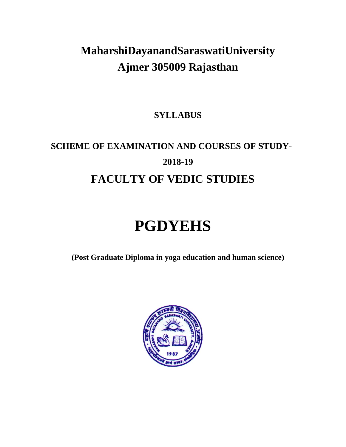# **MaharshiDayanandSaraswatiUniversity Ajmer 305009 Rajasthan**

# **SYLLABUS**

# **SCHEME OF EXAMINATION AND COURSES OF STUDY**-**2018-19 FACULTY OF VEDIC STUDIES**

# **PGDYEHS**

**(Post Graduate Diploma in yoga education and human science)**

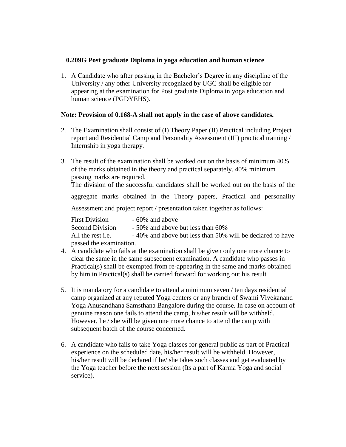#### **0.209G Post graduate Diploma in yoga education and human science**

1. A Candidate who after passing in the Bachelor's Degree in any discipline of the University / any other University recognized by UGC shall be eligible for appearing at the examination for Post graduate Diploma in yoga education and human science (PGDYEHS).

#### **Note: Provision of 0.168-A shall not apply in the case of above candidates.**

- 2. The Examination shall consist of (I) Theory Paper (II) Practical including Project report and Residential Camp and Personality Assessment (III) practical training / Internship in yoga therapy.
- 3. The result of the examination shall be worked out on the basis of minimum 40% of the marks obtained in the theory and practical separately. 40% minimum passing marks are required.

The division of the successful candidates shall be worked out on the basis of the

aggregate marks obtained in the Theory papers, Practical and personality

Assessment and project report / presentation taken together as follows:

| <b>First Division</b>    | $-60\%$ and above                                         |
|--------------------------|-----------------------------------------------------------|
| <b>Second Division</b>   | - 50% and above but less than 60%                         |
| All the rest <i>i.e.</i> | -40% and above but less than 50% will be declared to have |
| passed the examination.  |                                                           |

- 4. A candidate who fails at the examination shall be given only one more chance to clear the same in the same subsequent examination. A candidate who passes in Practical(s) shall be exempted from re-appearing in the same and marks obtained by him in Practical(s) shall be carried forward for working out his result .
- 5. It is mandatory for a candidate to attend a minimum seven / ten days residential camp organized at any reputed Yoga centers or any branch of Swami Vivekanand Yoga Anusandhana Samsthana Bangalore during the course. In case on account of genuine reason one fails to attend the camp, his/her result will be withheld. However, he / she will be given one more chance to attend the camp with subsequent batch of the course concerned.
- 6. A candidate who fails to take Yoga classes for general public as part of Practical experience on the scheduled date, his/her result will be withheld. However, his/her result will be declared if he/ she takes such classes and get evaluated by the Yoga teacher before the next session (Its a part of Karma Yoga and social service).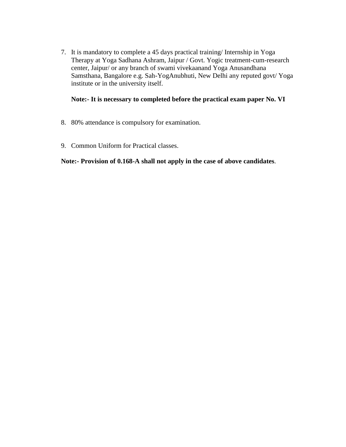7. It is mandatory to complete a 45 days practical training/ Internship in Yoga Therapy at Yoga Sadhana Ashram, Jaipur / Govt. Yogic treatment-cum-research center, Jaipur/ or any branch of swami vivekaanand Yoga Anusandhana Samsthana, Bangalore e.g. Sah-YogAnubhuti, New Delhi any reputed govt/ Yoga institute or in the university itself.

#### **Note:- It is necessary to completed before the practical exam paper No. VI**

- 8. 80% attendance is compulsory for examination.
- 9. Common Uniform for Practical classes.

#### **Note:- Provision of 0.168-A shall not apply in the case of above candidates**.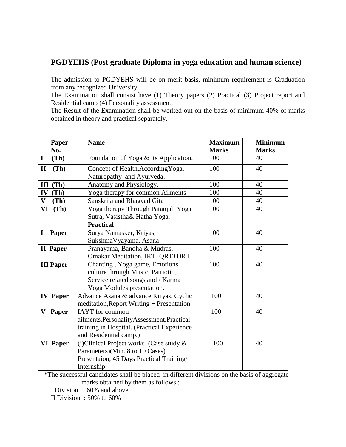#### **PGDYEHS (Post graduate Diploma in yoga education and human science)**

The admission to PGDYEHS will be on merit basis, minimum requirement is Graduation from any recognized University.

The Examination shall consist have (1) Theory papers (2) Practical (3) Project report and Residential camp (4) Personality assessment.

The Result of the Examination shall be worked out on the basis of minimum 40% of marks obtained in theory and practical separately.

| Paper                | <b>Name</b>                                 | <b>Maximum</b> | <b>Minimum</b> |
|----------------------|---------------------------------------------|----------------|----------------|
| No.                  |                                             | <b>Marks</b>   | <b>Marks</b>   |
| $\mathbf I$<br>(Th)  | Foundation of Yoga & its Application.       | 100            | 40             |
| $\mathbf{I}$<br>(Th) | Concept of Health, According Yoga,          | 100            | 40             |
|                      | Naturopathy and Ayurveda.                   |                |                |
| $III$ (Th)           | Anatomy and Physiology.                     | 100            | 40             |
| IV<br>(Th)           | Yoga therapy for common Ailments            | 100            | 40             |
| $\bf{V}$<br>(Th)     | Sanskrita and Bhagvad Gita                  | 100            | 40             |
| VI<br>(Th)           | Yoga therapy Through Patanjali Yoga         | 100            | 40             |
|                      | Sutra, Vasistha& Hatha Yoga.                |                |                |
|                      | <b>Practical</b>                            |                |                |
| I<br><b>Paper</b>    | Surya Namasker, Kriyas,                     | 100            | 40             |
|                      | SukshmaVyayama, Asana                       |                |                |
| II Paper             | Pranayama, Bandha & Mudras,                 | 100            | 40             |
|                      | Omakar Meditation, IRT+QRT+DRT              |                |                |
| <b>III Paper</b>     | Chanting, Yoga game, Emotions               | 100            | 40             |
|                      | culture through Music, Patriotic,           |                |                |
|                      | Service related songs and / Karma           |                |                |
|                      | Yoga Modules presentation.                  |                |                |
| <b>IV</b> Paper      | Advance Asana & advance Kriyas. Cyclic      | 100            | 40             |
|                      | meditation, Report Writing + Presentation.  |                |                |
| Paper<br>V           | <b>IAYT</b> for common                      | 100            | 40             |
|                      | ailments.PersonalityAssessment.Practical    |                |                |
|                      | training in Hospital. (Practical Experience |                |                |
|                      | and Residential camp.)                      |                |                |
| <b>VI</b> Paper      | (i) Clinical Project works (Case study &    | 100            | 40             |
|                      | Parameters)(Min. 8 to 10 Cases)             |                |                |
|                      | Presentaion, 45 Days Practical Training/    |                |                |
|                      | Internship                                  |                |                |

 \*The successful candidates shall be placed in different divisions on the basis of aggregate marks obtained by them as follows :

I Division : 60% and above

II Division : 50% to 60%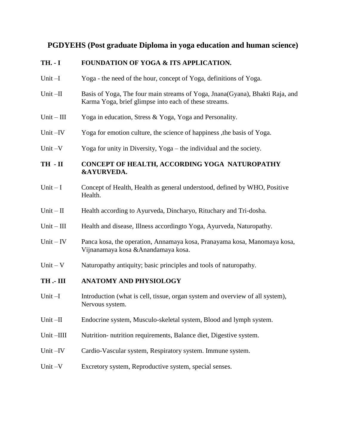### **PGDYEHS (Post graduate Diploma in yoga education and human science)**

#### **TH. - I FOUNDATION OF YOGA & ITS APPLICATION.**

- Unit –I Yoga the need of the hour, concept of Yoga, definitions of Yoga.
- Unit –II Basis of Yoga, The four main streams of Yoga, Jnana(Gyana), Bhakti Raja, and Karma Yoga, brief glimpse into each of these streams.
- Unit III Yoga in education, Stress & Yoga, Yoga and Personality.
- Unit –IV Yoga for emotion culture, the science of happiness, the basis of Yoga.
- Unit –V Yoga for unity in Diversity, Yoga the individual and the society.

#### **TH - II CONCEPT OF HEALTH, ACCORDING YOGA NATUROPATHY &AYURVEDA.**

- Unit I Concept of Health, Health as general understood, defined by WHO, Positive Health.
- Unit II Health according to Ayurveda, Dincharyo, Rituchary and Tri-dosha.
- Unit III Health and disease, Illness according to Yoga, Ayurveda, Naturopathy.
- Unit IV Panca kosa, the operation, Annamaya kosa, Pranayama kosa, Manomaya kosa, Vijnanamaya kosa &Anandamaya kosa.
- Unit  $-V$  Naturopathy antiquity; basic principles and tools of naturopathy.

#### **TH .- III ANATOMY AND PHYSIOLOGY**

- Unit –I Introduction (what is cell, tissue, organ system and overview of all system), Nervous system.
- Unit –II Endocrine system, Musculo-skeletal system, Blood and lymph system.
- Unit –IIII Nutrition- nutrition requirements, Balance diet, Digestive system.
- Unit –IV Cardio-Vascular system, Respiratory system. Immune system.
- Unit –V Excretory system, Reproductive system, special senses.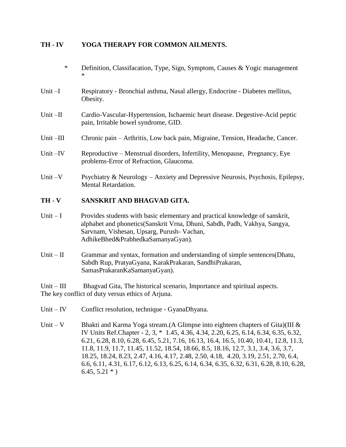#### **TH - IV YOGA THERAPY FOR COMMON AILMENTS.**

- \* Definition, Classifacation, Type, Sign, Symptom, Causes & Yogic management \*
- Unit –I Respiratory Bronchial asthma, Nasal allergy, Endocrine Diabetes mellitus, Obesity.
- Unit –II Cardio-Vascular-Hypertension, Ischaemic heart disease. Degestive-Acid peptic pain, Irritable bowel syndrome, GID.
- Unit –III Chronic pain Arthritis, Low back pain, Migraine, Tension, Headache, Cancer.
- Unit –IV Reproductive Menstrual disorders, Infertility, Menopause, Pregnancy, Eye problems-Error of Refraction, Glaucoma.
- Unit –V Psychiatry & Neurology Anxiety and Depressive Neurosis, Psychosis, Epilepsy, Mental Retardation.

#### **TH - V SANSKRIT AND BHAGVAD GITA.**

- Unit I Provides students with basic elementary and practical knowledge of sanskrit, alphabet and phonetics(Sanskrit Vrna, Dhuni, Sabdh, Padh, Vakhya, Sangya, Sarvnam, Vishesan, Upsarg, Purush- Vachan, AdhikeBhed&PrabhedkaSamanyaGyan).
- Unit II Grammar and syntax, formation and understanding of simple sentences (Dhatu, Sabdh Rup, PratyaGyana, KarakPrakaran, SandhiPrakaran, SamasPrakaranKaSamanyaGyan).

Unit – III Bhagvad Gita, The historical scenario, Importance and spiritual aspects. The key conflict of duty versus ethics of Arjuna.

- Unit IV Conflict resolution, technique GyanaDhyana.
- Unit V Bhakti and Karma Yoga stream. (A Glimpse into eighteen chapters of Gita) (III  $\&$ IV Units Ref.Chapter - 2, 3, \* 1.45, 4.36, 4.34, 2.20, 6.25, 6.14, 6.34, 6.35, 6.32, 6.21, 6.28, 8.10, 6.28, 6.45, 5.21, 7.16, 16.13, 16.4, 16.5, 10.40, 10.41, 12.8, 11.3, 11.8, 11.9, 11.7, 11.45, 11.52, 18.54, 18.66, 8.5, 18.16, 12.7, 3.1, 3.4, 3.6, 3.7, 18.25, 18.24, 8.23, 2.47, 4.16, 4.17, 2.48, 2.50, 4.18, 4.20, 3.19, 2.51, 2.70, 6.4, 6.6, 6.11, 4.31, 6.17, 6.12, 6.13, 6.25, 6.14, 6.34, 6.35, 6.32, 6.31, 6.28, 8.10, 6.28,  $6.45, 5.21$  \* )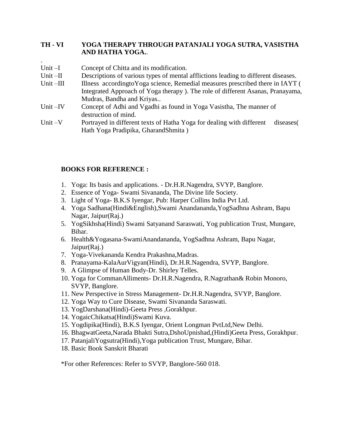#### **TH - VI YOGA THERAPY THROUGH PATANJALI YOGA SUTRA, VASISTHA AND HATHA YOGA.**.

| Unit $-I$   | Concept of Chitta and its modification.                                            |  |
|-------------|------------------------------------------------------------------------------------|--|
| Unit $-II$  | Descriptions of various types of mental afflictions leading to different diseases. |  |
| Unit $-III$ | Illness according to Yoga science, Remedial measures prescribed there in IAYT (    |  |
|             | Integrated Approach of Yoga therapy). The role of different Asanas, Pranayama,     |  |
|             | Mudras, Bandha and Kriyas                                                          |  |
| Unit $-IV$  | Concept of Adhi and Vgadhi as found in Yoga Vasistha, The manner of                |  |
|             | destruction of mind.                                                               |  |
| Unit $-V$   | Portrayed in different texts of Hatha Yoga for dealing with different<br>diseases  |  |
|             | Hath Yoga Pradipika, GharandShmita)                                                |  |

#### **BOOKS FOR REFERENCE :**

.

- 1. Yoga: Its basis and applications. Dr.H.R.Nagendra, SVYP, Banglore.
- 2. Essence of Yoga- Swami Sivananda, The Divine life Society.
- 3. Light of Yoga- B.K.S Iyengar, Pub: Harper Collins India Pvt Ltd.
- 4. Yoga Sadhana(Hindi&English),Swami Anandananda,YogSadhna Ashram, Bapu Nagar, Jaipur(Raj.)
- 5. YogSikhsha(Hindi) Swami Satyanand Saraswati, Yog publication Trust, Mungare, Bihar.
- 6. Health&Yogasana-SwamiAnandananda, YogSadhna Ashram, Bapu Nagar, Jaipur(Raj.)
- 7. Yoga-Vivekananda Kendra Prakashna,Madras.
- 8. Pranayama-KalaAurVigyan(Hindi), Dr.H.R.Nagendra, SVYP, Banglore.
- 9. A Glimpse of Human Body-Dr. Shirley Telles.
- 10. Yoga for CommanAlliments- Dr.H.R.Nagendra, R.Nagrathan& Robin Monoro, SVYP, Banglore.
- 11. New Perspective in Stress Management- Dr.H.R.Nagendra, SVYP, Banglore.
- 12. Yoga Way to Cure Disease, Swami Sivananda Saraswati.
- 13. YogDarshana(Hindi)-Geeta Press ,Gorakhpur.
- 14. YogaicChikatsa(Hindi)Swami Kuva.
- 15. Yogdipika(Hindi), B.K.S Iyengar, Orient Longman PvtLtd,New Delhi.
- 16. BhagwatGeeta,Narada Bhakti Sutra,DshoUpnishad,(Hindi)Geeta Press, Gorakhpur.
- 17. PatanjaliYogsutra(Hindi),Yoga publication Trust, Mungare, Bihar.
- 18. Basic Book Sanskrit Bharati

\*For other References: Refer to SVYP, Banglore-560 018.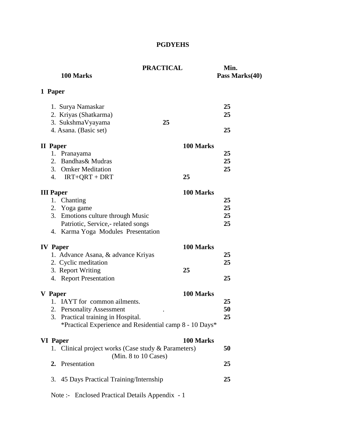### **PGDYEHS**

| 100 Marks                                           | <b>PRACTICAL</b>                                        | Min.<br>Pass Marks(40) |
|-----------------------------------------------------|---------------------------------------------------------|------------------------|
| 1 Paper                                             |                                                         |                        |
| 1. Surya Namaskar                                   |                                                         | 25                     |
| 2. Kriyas (Shatkarma)                               |                                                         | 25                     |
| 3. SukshmaVyayama                                   | 25                                                      |                        |
| 4. Asana. (Basic set)                               |                                                         | 25                     |
| II Paper                                            | 100 Marks                                               |                        |
| 1. Pranayama                                        |                                                         | 25                     |
| 2. Bandhas & Mudras                                 |                                                         | 25                     |
| 3. Omker Meditation                                 |                                                         | 25                     |
| 4. $IRT+QRT + DRT$                                  | 25                                                      |                        |
| <b>III</b> Paper                                    | 100 Marks                                               |                        |
| Chanting<br>1.                                      |                                                         | 25                     |
| 2. Yoga game                                        |                                                         | 25                     |
| 3. Emotions culture through Music                   | 25                                                      |                        |
| Patriotic, Service,- related songs                  |                                                         | 25                     |
| 4. Karma Yoga Modules Presentation                  |                                                         |                        |
| <b>IV</b> Paper                                     | 100 Marks                                               |                        |
| 1. Advance Asana, & advance Kriyas                  |                                                         | 25                     |
| 2. Cyclic meditation                                |                                                         | 25                     |
| 3. Report Writing                                   | 25                                                      |                        |
| 4. Report Presentation                              |                                                         | 25                     |
| V Paper                                             | 100 Marks                                               |                        |
| 1. IAYT for common ailments.                        |                                                         | 25                     |
| 2. Personality Assessment                           |                                                         | 50                     |
| 3. Practical training in Hospital.                  |                                                         | 25                     |
|                                                     | *Practical Experience and Residential camp 8 - 10 Days* |                        |
| <b>VI</b> Paper                                     | 100 Marks                                               |                        |
| 1. Clinical project works (Case study & Parameters) | (Min. 8 to 10 Cases)                                    | 50                     |
| 2. Presentation                                     |                                                         | 25                     |
| 3. 45 Days Practical Training/Internship            | 25                                                      |                        |
| Note :- Enclosed Practical Details Appendix - 1     |                                                         |                        |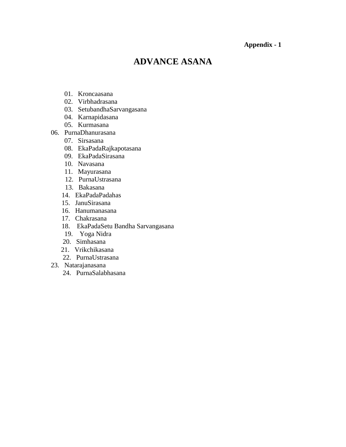#### **Appendix - 1**

## **ADVANCE ASANA**

- 01. Kroncaasana
- 02. Virbhadrasana
- 03. SetubandhaSarvangasana
- 04. Karnapidasana
- 05. Kurmasana
- 06. PurnaDhanurasana
	- 07. Sirsasana
	- 08. EkaPadaRajkapotasana
	- 09. EkaPadaSirasana
	- 10. Navasana
	- 11. Mayurasana
	- 12. PurnaUstrasana
	- 13. Bakasana
	- 14. EkaPadaPadahas
	- 15. JanuSirasana
	- 16. Hanumanasana
	- 17. Chakrasana
	- 18. EkaPadaSetu Bandha Sarvangasana
	- 19. Yoga Nidra
	- 20. Simhasana
	- 21. Vrikchikasana
	- 22. PurnaUstrasana
- 23. Natarajanasana
	- 24. PurnaSalabhasana